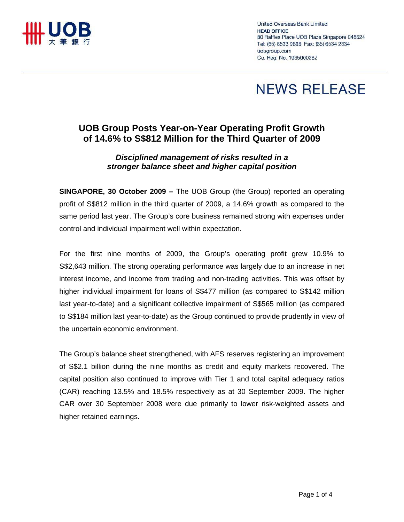

United Overseas Bank Limited **HEAD OFFICE** 80 Raffles Place UOB Plaza Singapore 048624 Tel: (65) 6533 9898 Fax: (65) 6534 2334 uobaroup.com Co. Reg. No. 193500026Z

# **NEWS RELEASE**

# **UOB Group Posts Year-on-Year Operating Profit Growth of 14.6% to S\$812 Million for the Third Quarter of 2009**

# *Disciplined management of risks resulted in a stronger balance sheet and higher capital position*

**SINGAPORE, 30 October 2009 –** The UOB Group (the Group) reported an operating profit of S\$812 million in the third quarter of 2009, a 14.6% growth as compared to the same period last year. The Group's core business remained strong with expenses under control and individual impairment well within expectation.

For the first nine months of 2009, the Group's operating profit grew 10.9% to S\$2,643 million. The strong operating performance was largely due to an increase in net interest income, and income from trading and non-trading activities. This was offset by higher individual impairment for loans of S\$477 million (as compared to S\$142 million last year-to-date) and a significant collective impairment of S\$565 million (as compared to S\$184 million last year-to-date) as the Group continued to provide prudently in view of the uncertain economic environment.

The Group's balance sheet strengthened, with AFS reserves registering an improvement of S\$2.1 billion during the nine months as credit and equity markets recovered. The capital position also continued to improve with Tier 1 and total capital adequacy ratios (CAR) reaching 13.5% and 18.5% respectively as at 30 September 2009. The higher CAR over 30 September 2008 were due primarily to lower risk-weighted assets and higher retained earnings.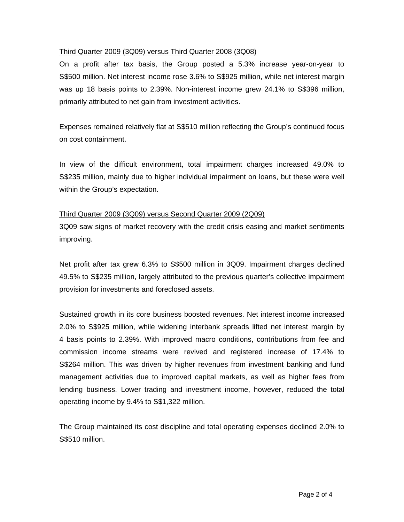# Third Quarter 2009 (3Q09) versus Third Quarter 2008 (3Q08)

On a profit after tax basis, the Group posted a 5.3% increase year-on-year to S\$500 million. Net interest income rose 3.6% to S\$925 million, while net interest margin was up 18 basis points to 2.39%. Non-interest income grew 24.1% to S\$396 million, primarily attributed to net gain from investment activities.

Expenses remained relatively flat at S\$510 million reflecting the Group's continued focus on cost containment.

In view of the difficult environment, total impairment charges increased 49.0% to S\$235 million, mainly due to higher individual impairment on loans, but these were well within the Group's expectation.

# Third Quarter 2009 (3Q09) versus Second Quarter 2009 (2Q09)

3Q09 saw signs of market recovery with the credit crisis easing and market sentiments improving.

Net profit after tax grew 6.3% to S\$500 million in 3Q09. Impairment charges declined 49.5% to S\$235 million, largely attributed to the previous quarter's collective impairment provision for investments and foreclosed assets.

Sustained growth in its core business boosted revenues. Net interest income increased 2.0% to S\$925 million, while widening interbank spreads lifted net interest margin by 4 basis points to 2.39%. With improved macro conditions, contributions from fee and commission income streams were revived and registered increase of 17.4% to S\$264 million. This was driven by higher revenues from investment banking and fund management activities due to improved capital markets, as well as higher fees from lending business. Lower trading and investment income, however, reduced the total operating income by 9.4% to S\$1,322 million.

The Group maintained its cost discipline and total operating expenses declined 2.0% to S\$510 million.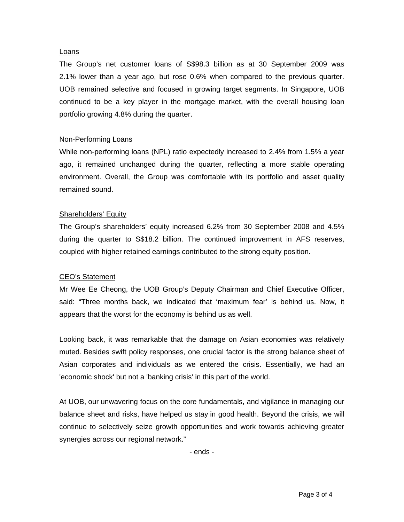#### Loans

The Group's net customer loans of S\$98.3 billion as at 30 September 2009 was 2.1% lower than a year ago, but rose 0.6% when compared to the previous quarter. UOB remained selective and focused in growing target segments. In Singapore, UOB continued to be a key player in the mortgage market, with the overall housing loan portfolio growing 4.8% during the quarter.

# Non-Performing Loans

While non-performing loans (NPL) ratio expectedly increased to 2.4% from 1.5% a year ago, it remained unchanged during the quarter, reflecting a more stable operating environment. Overall, the Group was comfortable with its portfolio and asset quality remained sound.

# Shareholders' Equity

The Group's shareholders' equity increased 6.2% from 30 September 2008 and 4.5% during the quarter to S\$18.2 billion. The continued improvement in AFS reserves, coupled with higher retained earnings contributed to the strong equity position.

#### CEO's Statement

Mr Wee Ee Cheong, the UOB Group's Deputy Chairman and Chief Executive Officer, said: "Three months back, we indicated that 'maximum fear' is behind us. Now, it appears that the worst for the economy is behind us as well.

Looking back, it was remarkable that the damage on Asian economies was relatively muted. Besides swift policy responses, one crucial factor is the strong balance sheet of Asian corporates and individuals as we entered the crisis. Essentially, we had an 'economic shock' but not a 'banking crisis' in this part of the world.

At UOB, our unwavering focus on the core fundamentals, and vigilance in managing our balance sheet and risks, have helped us stay in good health. Beyond the crisis, we will continue to selectively seize growth opportunities and work towards achieving greater synergies across our regional network."

- ends -